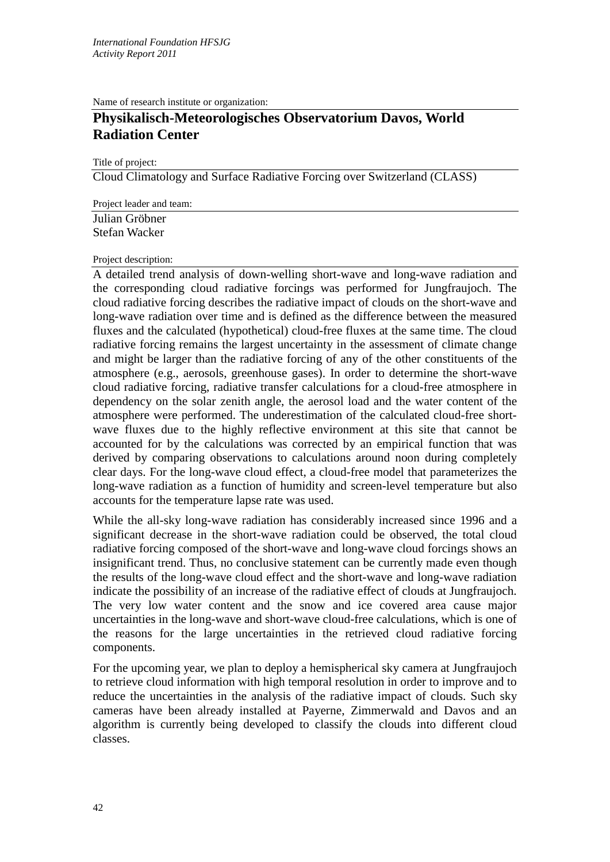Name of research institute or organization:

## **Physikalisch-Meteorologisches Observatorium Davos, World Radiation Center**

Title of project:

Cloud Climatology and Surface Radiative Forcing over Switzerland (CLASS)

Project leader and team:

Julian Gröbner Stefan Wacker

## Project description:

A detailed trend analysis of down-welling short-wave and long-wave radiation and the corresponding cloud radiative forcings was performed for Jungfraujoch. The cloud radiative forcing describes the radiative impact of clouds on the short-wave and long-wave radiation over time and is defined as the difference between the measured fluxes and the calculated (hypothetical) cloud-free fluxes at the same time. The cloud radiative forcing remains the largest uncertainty in the assessment of climate change and might be larger than the radiative forcing of any of the other constituents of the atmosphere (e.g., aerosols, greenhouse gases). In order to determine the short-wave cloud radiative forcing, radiative transfer calculations for a cloud-free atmosphere in dependency on the solar zenith angle, the aerosol load and the water content of the atmosphere were performed. The underestimation of the calculated cloud-free shortwave fluxes due to the highly reflective environment at this site that cannot be accounted for by the calculations was corrected by an empirical function that was derived by comparing observations to calculations around noon during completely clear days. For the long-wave cloud effect, a cloud-free model that parameterizes the long-wave radiation as a function of humidity and screen-level temperature but also accounts for the temperature lapse rate was used.

While the all-sky long-wave radiation has considerably increased since 1996 and a significant decrease in the short-wave radiation could be observed, the total cloud radiative forcing composed of the short-wave and long-wave cloud forcings shows an insignificant trend. Thus, no conclusive statement can be currently made even though the results of the long-wave cloud effect and the short-wave and long-wave radiation indicate the possibility of an increase of the radiative effect of clouds at Jungfraujoch. The very low water content and the snow and ice covered area cause major uncertainties in the long-wave and short-wave cloud-free calculations, which is one of the reasons for the large uncertainties in the retrieved cloud radiative forcing components.

For the upcoming year, we plan to deploy a hemispherical sky camera at Jungfraujoch to retrieve cloud information with high temporal resolution in order to improve and to reduce the uncertainties in the analysis of the radiative impact of clouds. Such sky cameras have been already installed at Payerne, Zimmerwald and Davos and an algorithm is currently being developed to classify the clouds into different cloud classes.